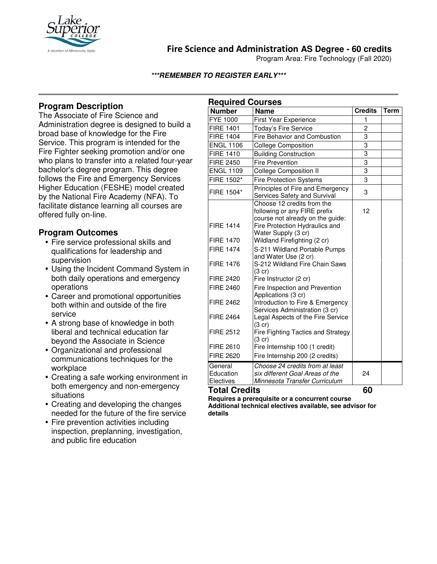

# **Fire Science and Administration AS Degree - 60 credits**

Program Area: Fire Technology (Fall 2020)

**\*\*\*REMEMBER TO REGISTER EARLY\*\*\***

## **Program Description**

The Associate of Fire Science and Administration degree is designed to build a broad base of knowledge for the Fire Service. This program is intended for the Fire Fighter seeking promotion and/or one who plans to transfer into a related four-year bachelor's degree program. This degree follows the Fire and Emergency Services Higher Education (FESHE) model created by the National Fire Academy (NFA). To facilitate distance learning all courses are offered fully on-line.

### **Program Outcomes**

- Fire service professional skills and qualifications for leadership and supervision
- Using the Incident Command System in both daily operations and emergency operations
- Career and promotional opportunities both within and outside of the fire service
- A strong base of knowledge in both liberal and technical education far beyond the Associate in Science
- Organizational and professional communications techniques for the workplace
- Creating a safe working environment in both emergency and non-emergency situations
- Creating and developing the changes needed for the future of the fire service
- Fire prevention activities including inspection, preplanning, investigation, and public fire education

| <b>Required Courses</b>           |                                                                                                                                  |                |      |
|-----------------------------------|----------------------------------------------------------------------------------------------------------------------------------|----------------|------|
| <b>Number</b>                     | <b>Name</b>                                                                                                                      | <b>Credits</b> | Term |
| <b>FYE 1000</b>                   | First Year Experience                                                                                                            | 1              |      |
| <b>FIRE 1401</b>                  | Today's Fire Service                                                                                                             | $\overline{c}$ |      |
| <b>FIRE 1404</b>                  | Fire Behavior and Combustion                                                                                                     | 3              |      |
| <b>ENGL 1106</b>                  | <b>College Composition</b>                                                                                                       | 3              |      |
| <b>FIRE 1410</b>                  | <b>Building Construction</b>                                                                                                     | $\overline{3}$ |      |
| <b>FIRE 2450</b>                  | <b>Fire Prevention</b>                                                                                                           | 3              |      |
| <b>ENGL 1109</b>                  | <b>College Composition II</b>                                                                                                    | 3              |      |
| FIRE 1502*                        | <b>Fire Protection Systems</b>                                                                                                   | 3              |      |
| FIRE 1504*                        | Principles of Fire and Emergency<br>Services Safety and Survival                                                                 | 3              |      |
| <b>FIRE 1414</b>                  | Choose 12 credits from the<br>following or any FIRE prefix<br>course not already on the guide:<br>Fire Protection Hydraulics and | 12             |      |
|                                   | Water Supply (3 cr)                                                                                                              |                |      |
| <b>FIRE 1470</b>                  | Wildland Firefighting (2 cr)                                                                                                     |                |      |
| <b>FIRE 1474</b>                  | S-211 Wildland Portable Pumps                                                                                                    |                |      |
| <b>FIRE 1476</b>                  | and Water Use (2 cr)<br>S-212 Wildland Fire Chain Saws<br>$(3 \text{ cr})$                                                       |                |      |
| <b>FIRE 2420</b>                  | Fire Instructor (2 cr)                                                                                                           |                |      |
| <b>FIRE 2460</b>                  | Fire Inspection and Prevention<br>Applications (3 cr)                                                                            |                |      |
| <b>FIRE 2462</b>                  | Introduction to Fire & Emergency<br>Services Administration (3 cr)                                                               |                |      |
| <b>FIRE 2464</b>                  | Legal Aspects of the Fire Service<br>(3 cr)                                                                                      |                |      |
| <b>FIRE 2512</b>                  | Fire Fighting Tactics and Strategy<br>$(3$ cr)                                                                                   |                |      |
| <b>FIRE 2610</b>                  | Fire Internship 100 (1 credit)                                                                                                   |                |      |
| <b>FIRE 2620</b>                  | Fire Internship 200 (2 credits)                                                                                                  |                |      |
| General<br>Education<br>Electives | Choose 24 credits from at least<br>six different Goal Areas of the<br>Minnesota Transfer Curriculum                              | 24             |      |

**Total Credits 60** 

**Requires a prerequisite or a concurrent course Additional technical electives available, see advisor for details**